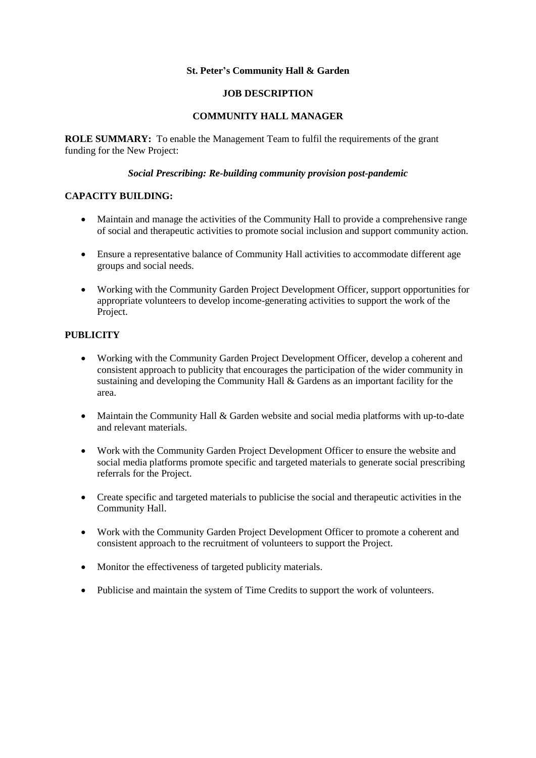### **St. Peter's Community Hall & Garden**

### **JOB DESCRIPTION**

### **COMMUNITY HALL MANAGER**

**ROLE SUMMARY:** To enable the Management Team to fulfil the requirements of the grant funding for the New Project:

#### *Social Prescribing: Re-building community provision post-pandemic*

### **CAPACITY BUILDING:**

- Maintain and manage the activities of the Community Hall to provide a comprehensive range of social and therapeutic activities to promote social inclusion and support community action.
- Ensure a representative balance of Community Hall activities to accommodate different age groups and social needs.
- Working with the Community Garden Project Development Officer, support opportunities for appropriate volunteers to develop income-generating activities to support the work of the Project.

### **PUBLICITY**

- Working with the Community Garden Project Development Officer, develop a coherent and consistent approach to publicity that encourages the participation of the wider community in sustaining and developing the Community Hall & Gardens as an important facility for the area.
- Maintain the Community Hall & Garden website and social media platforms with up-to-date and relevant materials.
- Work with the Community Garden Project Development Officer to ensure the website and social media platforms promote specific and targeted materials to generate social prescribing referrals for the Project.
- Create specific and targeted materials to publicise the social and therapeutic activities in the Community Hall.
- Work with the Community Garden Project Development Officer to promote a coherent and consistent approach to the recruitment of volunteers to support the Project.
- Monitor the effectiveness of targeted publicity materials.
- Publicise and maintain the system of Time Credits to support the work of volunteers.